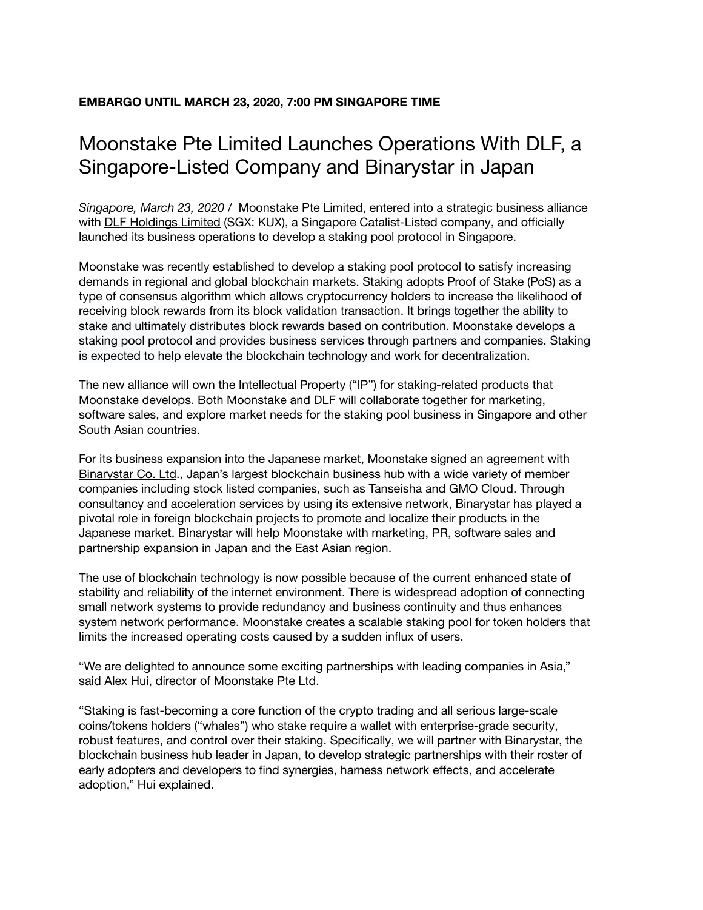## **EMBARGO UNTIL MARCH 23, 2020, 7:00 PM SINGAPORE TIME**

# Moonstake Pte Limited Launches Operations With DLF, a Singapore-Listed Company and Binarystar in Japan

*Singapore, March 23, 2020 /* Moonstake Pte Limited, entered into a strategic business alliance with DLF [Holdings](https://www.dlfholdings.sg/) Limited (SGX: KUX), a Singapore Catalist-Listed company, and officially launched its business operations to develop a staking pool protocol in Singapore.

Moonstake was recently established to develop a staking pool protocol to satisfy increasing demands in regional and global blockchain markets. Staking adopts Proof of Stake (PoS) as a type of consensus algorithm which allows cryptocurrency holders to increase the likelihood of receiving block rewards from its block validation transaction. It brings together the ability to stake and ultimately distributes block rewards based on contribution. Moonstake develops a staking pool protocol and provides business services through partners and companies. Staking is expected to help elevate the blockchain technology and work for decentralization.

The new alliance will own the Intellectual Property ("IP") for staking-related products that Moonstake develops. Both Moonstake and DLF will collaborate together for marketing, software sales, and explore market needs for the staking pool business in Singapore and other South Asian countries.

For its business expansion into the Japanese market, Moonstake signed an agreement with [Binarystar](https://binary-star.business/) Co. Ltd., Japan's largest blockchain business hub with a wide variety of member companies including stock listed companies, such as Tanseisha and GMO Cloud. Through consultancy and acceleration services by using its extensive network, Binarystar has played a pivotal role in foreign blockchain projects to promote and localize their products in the Japanese market. Binarystar will help Moonstake with marketing, PR, software sales and partnership expansion in Japan and the East Asian region.

The use of blockchain technology is now possible because of the current enhanced state of stability and reliability of the internet environment. There is widespread adoption of connecting small network systems to provide redundancy and business continuity and thus enhances system network performance. Moonstake creates a scalable staking pool for token holders that limits the increased operating costs caused by a sudden influx of users.

"We are delighted to announce some exciting partnerships with leading companies in Asia," said Alex Hui, director of Moonstake Pte Ltd.

"Staking is fast-becoming a core function of the crypto trading and all serious large-scale coins/tokens holders ("whales") who stake require a wallet with enterprise-grade security, robust features, and control over their staking. Specifically, we will partner with Binarystar, the blockchain business hub leader in Japan, to develop strategic partnerships with their roster of early adopters and developers to find synergies, harness network effects, and accelerate adoption," Hui explained.